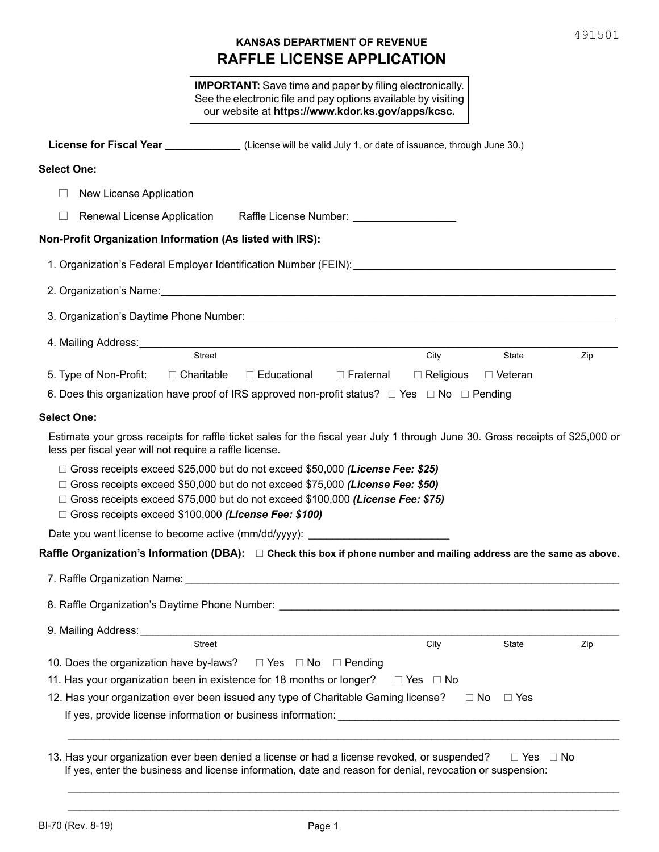# **RAFFLE LICENSE APPLICATION KANSAS DEPARTMENT OF REVENUE**

|                                                                                                                                                                                                                                                                                                                                 |                                    | <b>IMPORTANT:</b> Save time and paper by filing electronically.<br>See the electronic file and pay options available by visiting<br>our website at https://www.kdor.ks.gov/apps/kcsc. |                                 |                      |      |
|---------------------------------------------------------------------------------------------------------------------------------------------------------------------------------------------------------------------------------------------------------------------------------------------------------------------------------|------------------------------------|---------------------------------------------------------------------------------------------------------------------------------------------------------------------------------------|---------------------------------|----------------------|------|
| License for Fiscal Year _________________(License will be valid July 1, or date of issuance, through June 30.)                                                                                                                                                                                                                  |                                    |                                                                                                                                                                                       |                                 |                      |      |
| <b>Select One:</b>                                                                                                                                                                                                                                                                                                              |                                    |                                                                                                                                                                                       |                                 |                      |      |
| New License Application                                                                                                                                                                                                                                                                                                         |                                    |                                                                                                                                                                                       |                                 |                      |      |
|                                                                                                                                                                                                                                                                                                                                 |                                    | Renewal License Application Raffle License Number: _____________________________                                                                                                      |                                 |                      |      |
| Non-Profit Organization Information (As listed with IRS):                                                                                                                                                                                                                                                                       |                                    |                                                                                                                                                                                       |                                 |                      |      |
| 1. Organization's Federal Employer Identification Number (FEIN):_________________                                                                                                                                                                                                                                               |                                    |                                                                                                                                                                                       |                                 |                      |      |
| 2. Organization's Name: <b>Alternative Contract Contract Contract Contract Contract Contract Contract Contract Contract Contract Contract Contract Contract Contract Contract Contract Contract Contract Contract Contract Contr</b>                                                                                            |                                    |                                                                                                                                                                                       |                                 |                      |      |
|                                                                                                                                                                                                                                                                                                                                 |                                    |                                                                                                                                                                                       |                                 |                      |      |
|                                                                                                                                                                                                                                                                                                                                 |                                    |                                                                                                                                                                                       |                                 |                      |      |
|                                                                                                                                                                                                                                                                                                                                 | Street                             |                                                                                                                                                                                       | <b>City</b>                     | State                | Zip  |
| 5. Type of Non-Profit:                                                                                                                                                                                                                                                                                                          | $\Box$ Educational<br>□ Charitable | $\Box$ Fraternal                                                                                                                                                                      | $\Box$ Religious $\Box$ Veteran |                      |      |
| 6. Does this organization have proof of IRS approved non-profit status? $\Box$ Yes $\Box$ No $\Box$ Pending                                                                                                                                                                                                                     |                                    |                                                                                                                                                                                       |                                 |                      |      |
| <b>Select One:</b>                                                                                                                                                                                                                                                                                                              |                                    |                                                                                                                                                                                       |                                 |                      |      |
| Estimate your gross receipts for raffle ticket sales for the fiscal year July 1 through June 30. Gross receipts of \$25,000 or<br>less per fiscal year will not require a raffle license.                                                                                                                                       |                                    |                                                                                                                                                                                       |                                 |                      |      |
| $\Box$ Gross receipts exceed \$25,000 but do not exceed \$50,000 (License Fee: \$25)<br>$\Box$ Gross receipts exceed \$50,000 but do not exceed \$75,000 (License Fee: \$50)<br>$\Box$ Gross receipts exceed \$75,000 but do not exceed \$100,000 (License Fee: \$75)<br>□ Gross receipts exceed \$100,000 (License Fee: \$100) |                                    |                                                                                                                                                                                       |                                 |                      |      |
| Date you want license to become active (mm/dd/yyyy):                                                                                                                                                                                                                                                                            |                                    |                                                                                                                                                                                       |                                 |                      |      |
| Raffle Organization's Information (DBA): $\Box$ Check this box if phone number and mailing address are the same as above.                                                                                                                                                                                                       |                                    |                                                                                                                                                                                       |                                 |                      |      |
|                                                                                                                                                                                                                                                                                                                                 |                                    |                                                                                                                                                                                       |                                 |                      |      |
|                                                                                                                                                                                                                                                                                                                                 |                                    |                                                                                                                                                                                       |                                 |                      |      |
| 9. Mailing Address: Universe Products                                                                                                                                                                                                                                                                                           |                                    | <u> 1989 - Johann Barbara, martxa alemaniar a</u>                                                                                                                                     |                                 |                      |      |
|                                                                                                                                                                                                                                                                                                                                 | <b>Street</b>                      |                                                                                                                                                                                       | City                            | State                | Zip  |
| 10. Does the organization have by-laws?  □ Yes □ No □ Pending                                                                                                                                                                                                                                                                   |                                    |                                                                                                                                                                                       |                                 |                      |      |
| 11. Has your organization been in existence for 18 months or longer?                                                                                                                                                                                                                                                            |                                    |                                                                                                                                                                                       | $\Box$ Yes $\Box$ No            |                      |      |
| 12. Has your organization ever been issued any type of Charitable Gaming license?                                                                                                                                                                                                                                               |                                    |                                                                                                                                                                                       |                                 | $\Box$ No $\Box$ Yes |      |
|                                                                                                                                                                                                                                                                                                                                 |                                    |                                                                                                                                                                                       |                                 |                      |      |
|                                                                                                                                                                                                                                                                                                                                 |                                    |                                                                                                                                                                                       |                                 |                      |      |
| 13. Has your organization ever been denied a license or had a license revoked, or suspended?                                                                                                                                                                                                                                    |                                    | If yes, enter the business and license information, date and reason for denial, revocation or suspension:                                                                             |                                 | $\Box$ Yes           | ⊟ No |

\_\_\_\_\_\_\_\_\_\_\_\_\_\_\_\_\_\_\_\_\_\_\_\_\_\_\_\_\_\_\_\_\_\_\_\_\_\_\_\_\_\_\_\_\_\_\_\_\_\_\_\_\_\_\_\_\_\_\_\_\_\_\_\_\_\_\_\_\_\_\_\_\_\_\_\_\_\_\_\_\_\_\_\_\_\_\_\_\_\_\_\_\_\_ \_\_\_\_\_\_\_\_\_\_\_\_\_\_\_\_\_\_\_\_\_\_\_\_\_\_\_\_\_\_\_\_\_\_\_\_\_\_\_\_\_\_\_\_\_\_\_\_\_\_\_\_\_\_\_\_\_\_\_\_\_\_\_\_\_\_\_\_\_\_\_\_\_\_\_\_\_\_\_\_\_\_\_\_\_\_\_\_\_\_\_\_\_\_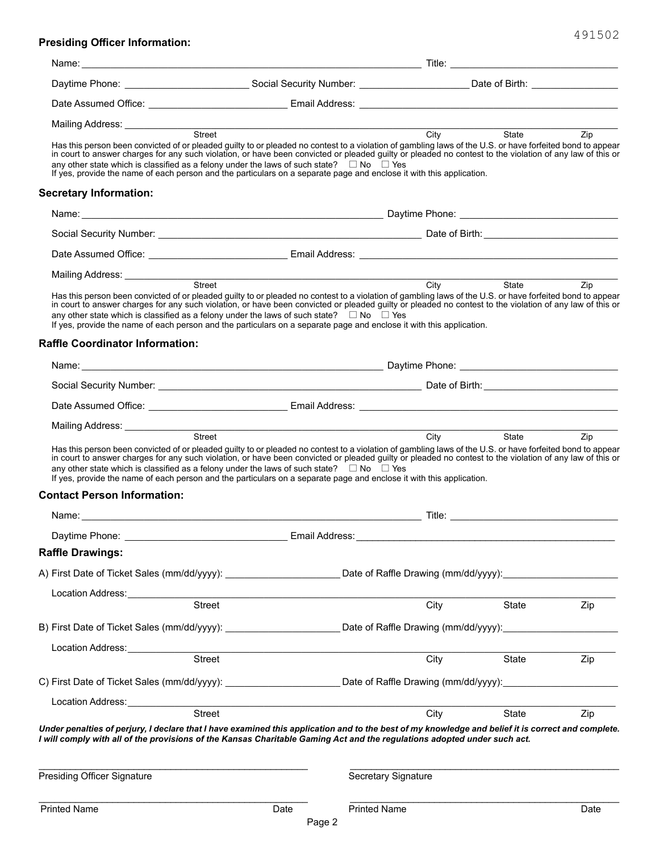## **Presiding Officer Information:**

| Name:                                                                                                                                                                                                                                                                                                                                                                                                                                                                                                                                                     |                                                                                         |                                      |                                                                                                                                        |      |  |
|-----------------------------------------------------------------------------------------------------------------------------------------------------------------------------------------------------------------------------------------------------------------------------------------------------------------------------------------------------------------------------------------------------------------------------------------------------------------------------------------------------------------------------------------------------------|-----------------------------------------------------------------------------------------|--------------------------------------|----------------------------------------------------------------------------------------------------------------------------------------|------|--|
|                                                                                                                                                                                                                                                                                                                                                                                                                                                                                                                                                           |                                                                                         |                                      | Daytime Phone: ______________________________Social Security Number: ________________________Date of Birth: __________________________ |      |  |
|                                                                                                                                                                                                                                                                                                                                                                                                                                                                                                                                                           |                                                                                         |                                      |                                                                                                                                        |      |  |
|                                                                                                                                                                                                                                                                                                                                                                                                                                                                                                                                                           |                                                                                         |                                      |                                                                                                                                        |      |  |
| Has this person been convicted of or pleaded guilty to or pleaded no contest to a violation of gambling laws of the U.S. or have forfeited bond to appear<br>in court to answer charges for any such violation, or have been convicted or pleaded guilty or pleaded no contest to the violation of any law of this or<br>any other state which is classified as a felony under the laws of such state? $\square$ No $\square$ Yes<br>If yes, provide the name of each person and the particulars on a separate page and enclose it with this application. |                                                                                         | City                                 | <b>State State</b>                                                                                                                     | Zip  |  |
| <b>Secretary Information:</b>                                                                                                                                                                                                                                                                                                                                                                                                                                                                                                                             |                                                                                         |                                      |                                                                                                                                        |      |  |
|                                                                                                                                                                                                                                                                                                                                                                                                                                                                                                                                                           |                                                                                         |                                      |                                                                                                                                        |      |  |
|                                                                                                                                                                                                                                                                                                                                                                                                                                                                                                                                                           |                                                                                         |                                      |                                                                                                                                        |      |  |
|                                                                                                                                                                                                                                                                                                                                                                                                                                                                                                                                                           |                                                                                         |                                      |                                                                                                                                        |      |  |
| Mailing Address: ______________                                                                                                                                                                                                                                                                                                                                                                                                                                                                                                                           | Street City State                                                                       |                                      |                                                                                                                                        |      |  |
| Has this person been convicted of or pleaded guilty to or pleaded no contest to a violation of gambling laws of the U.S. or have forfeited bond to appear<br>in court to answer charges for any such violation, or have been convicted or pleaded guilty or pleaded no contest to the violation of any law of this or<br>any other state which is classified as a felony under the laws of such state? $\square$ No $\square$ Yes<br>If yes, provide the name of each person and the particulars on a separate page and enclose it with this application. |                                                                                         |                                      |                                                                                                                                        | Zip  |  |
| <b>Raffle Coordinator Information:</b>                                                                                                                                                                                                                                                                                                                                                                                                                                                                                                                    |                                                                                         |                                      |                                                                                                                                        |      |  |
|                                                                                                                                                                                                                                                                                                                                                                                                                                                                                                                                                           |                                                                                         |                                      |                                                                                                                                        |      |  |
|                                                                                                                                                                                                                                                                                                                                                                                                                                                                                                                                                           |                                                                                         |                                      |                                                                                                                                        |      |  |
|                                                                                                                                                                                                                                                                                                                                                                                                                                                                                                                                                           |                                                                                         |                                      |                                                                                                                                        |      |  |
| Mailing Address: _____________                                                                                                                                                                                                                                                                                                                                                                                                                                                                                                                            |                                                                                         |                                      |                                                                                                                                        |      |  |
| any other state which is classified as a felony under the laws of such state? $\square$ No $\square$ Yes<br>If yes, provide the name of each person and the particulars on a separate page and enclose it with this application.<br><b>Contact Person Information:</b>                                                                                                                                                                                                                                                                                    |                                                                                         |                                      |                                                                                                                                        |      |  |
|                                                                                                                                                                                                                                                                                                                                                                                                                                                                                                                                                           |                                                                                         |                                      |                                                                                                                                        |      |  |
|                                                                                                                                                                                                                                                                                                                                                                                                                                                                                                                                                           |                                                                                         |                                      |                                                                                                                                        |      |  |
| <b>Raffle Drawings:</b>                                                                                                                                                                                                                                                                                                                                                                                                                                                                                                                                   |                                                                                         |                                      |                                                                                                                                        |      |  |
| A) First Date of Ticket Sales (mm/dd/yyyy):                                                                                                                                                                                                                                                                                                                                                                                                                                                                                                               |                                                                                         | Date of Raffle Drawing (mm/dd/yyyy): |                                                                                                                                        |      |  |
| Location Address:                                                                                                                                                                                                                                                                                                                                                                                                                                                                                                                                         |                                                                                         |                                      |                                                                                                                                        |      |  |
|                                                                                                                                                                                                                                                                                                                                                                                                                                                                                                                                                           | Street                                                                                  | City                                 | State                                                                                                                                  | Zip  |  |
| B) First Date of Ticket Sales (mm/dd/yyyy): ___________________________Date of Raffle Drawing (mm/dd/yyyy): _______________                                                                                                                                                                                                                                                                                                                                                                                                                               |                                                                                         |                                      |                                                                                                                                        |      |  |
| Location Address:<br><u>Location</u> Address:                                                                                                                                                                                                                                                                                                                                                                                                                                                                                                             |                                                                                         |                                      |                                                                                                                                        |      |  |
|                                                                                                                                                                                                                                                                                                                                                                                                                                                                                                                                                           | Street                                                                                  | City                                 | State                                                                                                                                  | Zip  |  |
| C) First Date of Ticket Sales (mm/dd/yyyy): ____________________________Date of Raffle Drawing (mm/dd/yyyy): _______________                                                                                                                                                                                                                                                                                                                                                                                                                              |                                                                                         |                                      |                                                                                                                                        |      |  |
| Location Address:                                                                                                                                                                                                                                                                                                                                                                                                                                                                                                                                         | <u> 1980 - Jan Barbara, martin da kasar Amerikaan kasar Indonesia.</u><br><b>Street</b> |                                      |                                                                                                                                        |      |  |
| Under penalties of perjury, I declare that I have examined this application and to the best of my knowledge and belief it is correct and complete.<br>I will comply with all of the provisions of the Kansas Charitable Gaming Act and the regulations adopted under such act.                                                                                                                                                                                                                                                                            |                                                                                         | City                                 | State                                                                                                                                  | Zip  |  |
| <b>Presiding Officer Signature</b>                                                                                                                                                                                                                                                                                                                                                                                                                                                                                                                        |                                                                                         | Secretary Signature                  |                                                                                                                                        |      |  |
| <b>Printed Name</b>                                                                                                                                                                                                                                                                                                                                                                                                                                                                                                                                       | Date                                                                                    | <b>Printed Name</b>                  |                                                                                                                                        | Date |  |